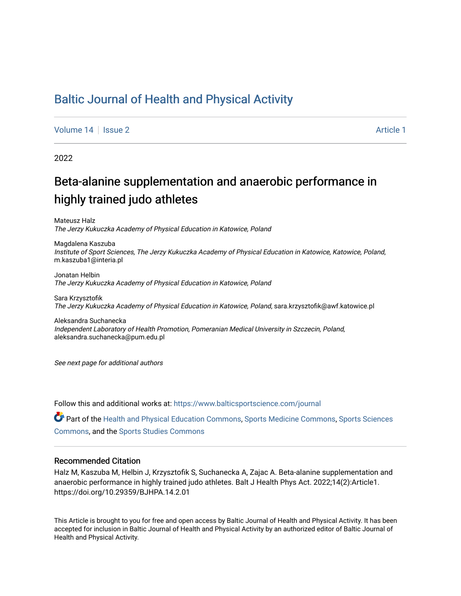## [Baltic Journal of Health and Physical Activity](https://www.balticsportscience.com/journal)

[Volume 14](https://www.balticsportscience.com/journal/vol14) Susue 2 [Article 1](https://www.balticsportscience.com/journal/vol14/iss2/1) Article 1 Article 1

2022

# Beta-alanine supplementation and anaerobic performance in highly trained judo athletes

Mateusz Halz The Jerzy Kukuczka Academy of Physical Education in Katowice, Poland

Magdalena Kaszuba Institute of Sport Sciences, The Jerzy Kukuczka Academy of Physical Education in Katowice, Katowice, Poland, m.kaszuba1@interia.pl

Jonatan Helbin The Jerzy Kukuczka Academy of Physical Education in Katowice, Poland

Sara Krzysztofik The Jerzy Kukuczka Academy of Physical Education in Katowice, Poland, sara.krzysztofik@awf.katowice.pl

Aleksandra Suchanecka Independent Laboratory of Health Promotion, Pomeranian Medical University in Szczecin, Poland, aleksandra.suchanecka@pum.edu.pl

See next page for additional authors

Follow this and additional works at: [https://www.balticsportscience.com/journal](https://www.balticsportscience.com/journal?utm_source=www.balticsportscience.com%2Fjournal%2Fvol14%2Fiss2%2F1&utm_medium=PDF&utm_campaign=PDFCoverPages) 

Part of the [Health and Physical Education Commons](https://network.bepress.com/hgg/discipline/1327?utm_source=www.balticsportscience.com%2Fjournal%2Fvol14%2Fiss2%2F1&utm_medium=PDF&utm_campaign=PDFCoverPages), [Sports Medicine Commons,](https://network.bepress.com/hgg/discipline/1331?utm_source=www.balticsportscience.com%2Fjournal%2Fvol14%2Fiss2%2F1&utm_medium=PDF&utm_campaign=PDFCoverPages) [Sports Sciences](https://network.bepress.com/hgg/discipline/759?utm_source=www.balticsportscience.com%2Fjournal%2Fvol14%2Fiss2%2F1&utm_medium=PDF&utm_campaign=PDFCoverPages) [Commons](https://network.bepress.com/hgg/discipline/759?utm_source=www.balticsportscience.com%2Fjournal%2Fvol14%2Fiss2%2F1&utm_medium=PDF&utm_campaign=PDFCoverPages), and the [Sports Studies Commons](https://network.bepress.com/hgg/discipline/1198?utm_source=www.balticsportscience.com%2Fjournal%2Fvol14%2Fiss2%2F1&utm_medium=PDF&utm_campaign=PDFCoverPages) 

#### Recommended Citation

Halz M, Kaszuba M, Helbin J, Krzysztofik S, Suchanecka A, Zajac A. Beta-alanine supplementation and anaerobic performance in highly trained judo athletes. Balt J Health Phys Act. 2022;14(2):Article1. https://doi.org/10.29359/BJHPA.14.2.01

This Article is brought to you for free and open access by Baltic Journal of Health and Physical Activity. It has been accepted for inclusion in Baltic Journal of Health and Physical Activity by an authorized editor of Baltic Journal of Health and Physical Activity.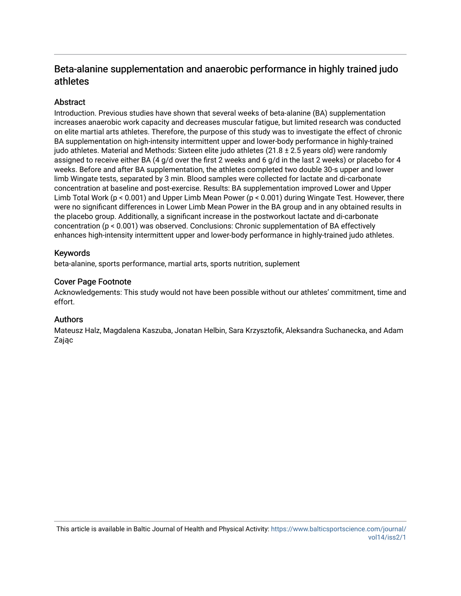## Beta-alanine supplementation and anaerobic performance in highly trained judo athletes

## **Abstract**

Introduction. Previous studies have shown that several weeks of beta-alanine (BA) supplementation increases anaerobic work capacity and decreases muscular fatigue, but limited research was conducted on elite martial arts athletes. Therefore, the purpose of this study was to investigate the effect of chronic BA supplementation on high-intensity intermittent upper and lower-body performance in highly-trained judo athletes. Material and Methods: Sixteen elite judo athletes (21.8 ± 2.5 years old) were randomly assigned to receive either BA (4 g/d over the first 2 weeks and 6 g/d in the last 2 weeks) or placebo for 4 weeks. Before and after BA supplementation, the athletes completed two double 30-s upper and lower limb Wingate tests, separated by 3 min. Blood samples were collected for lactate and di-carbonate concentration at baseline and post-exercise. Results: BA supplementation improved Lower and Upper Limb Total Work (p < 0.001) and Upper Limb Mean Power (p < 0.001) during Wingate Test. However, there were no significant differences in Lower Limb Mean Power in the BA group and in any obtained results in the placebo group. Additionally, a significant increase in the postworkout lactate and di-carbonate concentration (p < 0.001) was observed. Conclusions: Chronic supplementation of BA effectively enhances high-intensity intermittent upper and lower-body performance in highly-trained judo athletes.

## Keywords

beta-alanine, sports performance, martial arts, sports nutrition, suplement

## Cover Page Footnote

Acknowledgements: This study would not have been possible without our athletes' commitment, time and effort.

### Authors

Mateusz Halz, Magdalena Kaszuba, Jonatan Helbin, Sara Krzysztofik, Aleksandra Suchanecka, and Adam Zając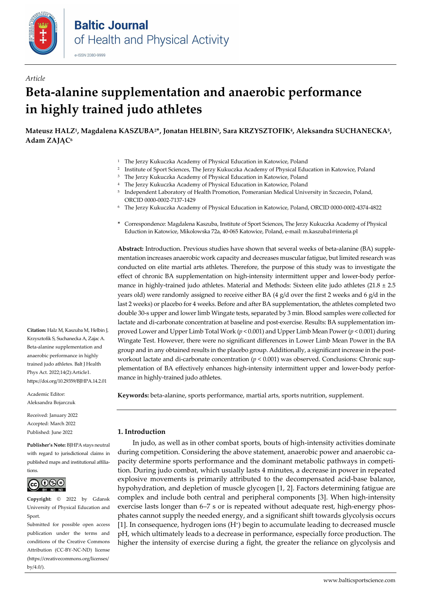

# *Article* **Beta-alanine supplementation and anaerobic performance in highly trained judo athletes**

**Mateusz HALZ1, Magdalena KASZUBA2\*, Jonatan HELBIN3, Sara KRZYSZTOFIK4, Aleksandra SUCHANECKA5, Adam ZAJĄC<sup>6</sup>**

- <sup>1</sup> The Jerzy Kukuczka Academy of Physical Education in Katowice, Poland
- <sup>2</sup> Institute of Sport Sciences, The Jerzy Kukuczka Academy of Physical Education in Katowice, Poland
- <sup>3</sup> The Jerzy Kukuczka Academy of Physical Education in Katowice, Poland
- 4 The Jerzy Kukuczka Academy of Physical Education in Katowice, Poland
- <sup>5</sup> Independent Laboratory of Health Promotion, Pomeranian Medical University in Szczecin, Poland, ORCI[D 0000-0002-7137-1429](https://orcid.org/0000-0002-7137-1429)
- <sup>6</sup> The Jerzy Kukuczka Academy of Physical Education in Katowice, Poland, ORCID [0000-0002-4374-4822](https://orcid.org/0000-0002-4374-4822)
- **\*** Correspondence: Magdalena Kaszuba, Institute of Sport Sciences, The Jerzy Kukuczka Academy of Physical Eduction in Katowice, Mikolowska 72a, 40-065 Katowice, Poland, e-mail: m.kaszuba1@interia.pl

**Abstract:** Introduction. Previous studies have shown that several weeks of beta-alanine (BA) supplementation increases anaerobic work capacity and decreases muscular fatigue, but limited research was conducted on elite martial arts athletes. Therefore, the purpose of this study was to investigate the effect of chronic BA supplementation on high-intensity intermittent upper and lower-body performance in highly-trained judo athletes. Material and Methods: Sixteen elite judo athletes  $(21.8 \pm 2.5$ years old) were randomly assigned to receive either BA  $(4 \text{ g/d over the first 2 weeks and 6 g/d in the})$ last 2 weeks) or placebo for 4 weeks. Before and after BA supplementation, the athletes completed two double 30-s upper and lower limb Wingate tests, separated by 3 min. Blood samples were collected for lactate and di-carbonate concentration at baseline and post-exercise. Results: BA supplementation improved Lower and Upper Limb Total Work (*p* < 0.001) and Upper Limb Mean Power (*p* < 0.001) during Wingate Test. However, there were no significant differences in Lower Limb Mean Power in the BA group and in any obtained results in the placebo group. Additionally, a significant increase in the postworkout lactate and di-carbonate concentration  $(p < 0.001)$  was observed. Conclusions: Chronic supplementation of BA effectively enhances high-intensity intermittent upper and lower-body performance in highly-trained judo athletes.

**Keywords:** beta-alanine, sports performance, martial arts, sports nutrition, supplement.

#### **1. Introduction**

In judo, as well as in other combat sports, bouts of high-intensity activities dominate during competition. Considering the above statement, anaerobic power and anaerobic capacity determine sports performance and the dominant metabolic pathways in competition. During judo combat, which usually lasts 4 minutes, a decrease in power in repeated explosive movements is primarily attributed to the decompensated acid-base balance, hypohydration, and depletion of muscle glycogen [1, 2]. Factors determining fatigue are complex and include both central and peripheral components [3]. When high-intensity exercise lasts longer than 6–7 s or is repeated without adequate rest, high-energy phosphates cannot supply the needed energy, and a significant shift towards glycolysis occurs [1]. In consequence, hydrogen ions (H+) begin to accumulate leading to decreased muscle pH, which ultimately leads to a decrease in performance, especially force production. The higher the intensity of exercise during a fight, the greater the reliance on glycolysis and

**Citation:** Halz M, Kaszuba M, Helbin J, Krzysztofik S, Suchanecka A, Zajac A. Beta-alanine supplementation and anaerobic performance in highly trained judo athletes. Balt J Health Phys Act. 2022;14(2):Article1. https://doi.org/10.29359/BJHPA.14.2.01

Academic Editor: Aleksandra Bojarczuk

Received: January 2022 Accepted: March 2022 Published: June 2022

**Publisher's Note:** BJHPA stays neutral with regard to jurisdictional claims in published maps and institutional affiliations.



**Copyright:** © 2022 by Gdansk University of Physical Education and Sport.

Submitted for possible open access publication under the terms and conditions of the Creative Commons Attribution (CC-BY-NC-ND) license (https://creativecommons.org/licenses/ by/4.0/).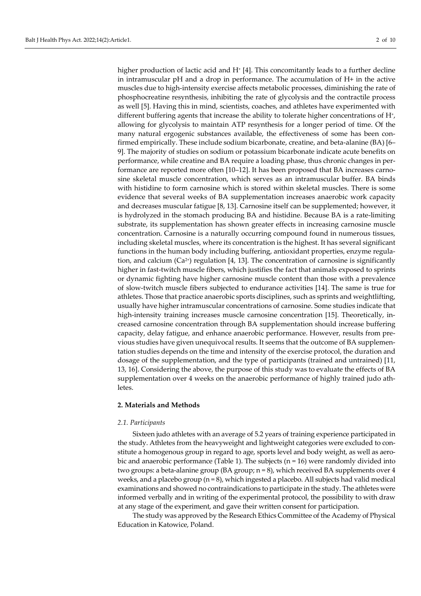higher production of lactic acid and  $H^+$  [4]. This concomitantly leads to a further decline in intramuscular pH and a drop in performance. The accumulation of H+ in the active muscles due to high-intensity exercise affects metabolic processes, diminishing the rate of phosphocreatine resynthesis, inhibiting the rate of glycolysis and the contractile process as well [5]. Having this in mind, scientists, coaches, and athletes have experimented with different buffering agents that increase the ability to tolerate higher concentrations of H+, allowing for glycolysis to maintain ATP resynthesis for a longer period of time. Of the many natural ergogenic substances available, the effectiveness of some has been confirmed empirically. These include sodium bicarbonate, creatine, and beta-alanine (BA) [6– 9]. The majority of studies on sodium or potassium bicarbonate indicate acute benefits on performance, while creatine and BA require a loading phase, thus chronic changes in performance are reported more often [10–12]. It has been proposed that BA increases carnosine skeletal muscle concentration, which serves as an intramuscular buffer. BA binds with histidine to form carnosine which is stored within skeletal muscles. There is some evidence that several weeks of BA supplementation increases anaerobic work capacity and decreases muscular fatigue [8, 13]. Carnosine itself can be supplemented; however, it is hydrolyzed in the stomach producing BA and histidine. Because BA is a rate-limiting substrate, its supplementation has shown greater effects in increasing carnosine muscle concentration. Carnosine is a naturally occurring compound found in numerous tissues, including skeletal muscles, where its concentration is the highest. It has several significant functions in the human body including buffering, antioxidant properties, enzyme regulation, and calcium  $(Ca^{2+})$  regulation [4, 13]. The concentration of carnosine is significantly higher in fast-twitch muscle fibers, which justifies the fact that animals exposed to sprints or dynamic fighting have higher carnosine muscle content than those with a prevalence of slow-twitch muscle fibers subjected to endurance activities [14]. The same is true for athletes. Those that practice anaerobic sports disciplines, such as sprints and weightlifting, usually have higher intramuscular concentrations of carnosine. Some studies indicate that high-intensity training increases muscle carnosine concentration [15]. Theoretically, increased carnosine concentration through BA supplementation should increase buffering capacity, delay fatigue, and enhance anaerobic performance. However, results from previous studies have given unequivocal results. It seems that the outcome of BA supplementation studies depends on the time and intensity of the exercise protocol, the duration and dosage of the supplementation, and the type of participants (trained and untrained) [11, 13, 16]. Considering the above, the purpose of this study was to evaluate the effects of BA supplementation over 4 weeks on the anaerobic performance of highly trained judo athletes.

#### **2. Materials and Methods**

#### *2.1. Participants*

Sixteen judo athletes with an average of 5.2 years of training experience participated in the study. Athletes from the heavyweight and lightweight categories were excluded to constitute a homogenous group in regard to age, sports level and body weight, as well as aerobic and anaerobic performance (Table 1). The subjects  $(n = 16)$  were randomly divided into two groups: a beta-alanine group (BA group; n = 8), which received BA supplements over 4 weeks, and a placebo group  $(n = 8)$ , which ingested a placebo. All subjects had valid medical examinations and showed no contraindications to participate in the study. The athletes were informed verbally and in writing of the experimental protocol, the possibility to with draw at any stage of the experiment, and gave their written consent for participation.

The study was approved by the Research Ethics Committee of the Academy of Physical Education in Katowice, Poland.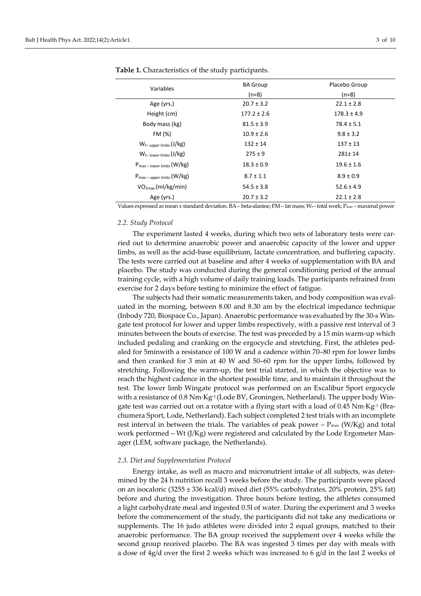| <b>BA Group</b> | Placebo Group   |
|-----------------|-----------------|
| $(n=8)$         | $(n=8)$         |
| $20.7 \pm 3.2$  | $22.1 \pm 2.8$  |
| $177.2 \pm 2.6$ | $178.3 \pm 4.9$ |
| $81.5 \pm 3.9$  | $78.4 \pm 5.1$  |
| $10.9 \pm 2.6$  | $9.8 \pm 3.2$   |
| $132 \pm 14$    | $137 \pm 13$    |
| $275 \pm 9$     | 281±14          |
| $18.3 \pm 0.9$  | $19.6 \pm 1.6$  |
| $8.7 \pm 1.1$   | $8.9 \pm 0.9$   |
| $54.5 \pm 3.8$  | $52.6 \pm 4.9$  |
| $20.7 \pm 3.2$  | $22.1 \pm 2.8$  |
|                 |                 |

**Table 1.** Characteristics of the study participants.

Values expressed as mean ± standard deviation. BA – beta-alanine; FM – fat mass; Wt – total work; Pmax – maximal power

#### *2.2. Study Protocol*

The experiment lasted 4 weeks, during which two sets of laboratory tests were carried out to determine anaerobic power and anaerobic capacity of the lower and upper limbs, as well as the acid-base equilibrium, lactate concentration, and buffering capacity. The tests were carried out at baseline and after 4 weeks of supplementation with BA and placebo. The study was conducted during the general conditioning period of the annual training cycle, with a high volume of daily training loads. The participants refrained from exercise for 2 days before testing to minimize the effect of fatigue.

The subjects had their somatic measurements taken, and body composition was evaluated in the morning, between 8.00 and 8.30 am by the electrical impedance technique (Inbody 720, Biospace Co., Japan). Anaerobic performance was evaluated by the 30-s Wingate test protocol for lower and upper limbs respectively, with a passive rest interval of 3 minutes between the bouts of exercise. The test was preceded by a 15 min warm-up which included pedaling and cranking on the ergocycle and stretching. First, the athletes pedaled for 5minwith a resistance of 100 W and a cadence within 70–80 rpm for lower limbs and then cranked for 3 min at 40 W and 50–60 rpm for the upper limbs, followed by stretching. Following the warm-up, the test trial started, in which the objective was to reach the highest cadence in the shortest possible time, and to maintain it throughout the test. The lower limb Wingate protocol was performed on an Excalibur Sport ergocycle with a resistance of  $0.8$  Nm·Kg<sup>-1</sup> (Lode BV, Groningen, Netherland). The upper body Wingate test was carried out on a rotator with a flying start with a load of 0.45  $Nm$ ·Kg<sup>-1</sup> (Brachumera Sport, Lode, Netherland). Each subject completed 2 test trials with an incomplete rest interval in between the trials. The variables of peak power –  $P_{\text{max}}$  (W/Kg) and total work performed – Wt (J/Kg) were registered and calculated by the Lode Ergometer Manager (LEM, software package, the Netherlands).

#### *2.3. Diet and Supplementation Protocol*

Energy intake, as well as macro and micronutrient intake of all subjects, was determined by the 24 h nutrition recall 3 weeks before the study. The participants were placed on an isocaloric (3255 ± 336 kcal/d) mixed diet (55% carbohydrates, 20% protein, 25% fat) before and during the investigation. Three hours before testing, the athletes consumed a light carbohydrate meal and ingested 0.5l of water. During the experiment and 3 weeks before the commencement of the study, the participants did not take any medications or supplements. The 16 judo athletes were divided into 2 equal groups, matched to their anaerobic performance. The BA group received the supplement over 4 weeks while the second group received placebo. The BA was ingested 3 times per day with meals with a dose of  $4g/d$  over the first 2 weeks which was increased to 6  $g/d$  in the last 2 weeks of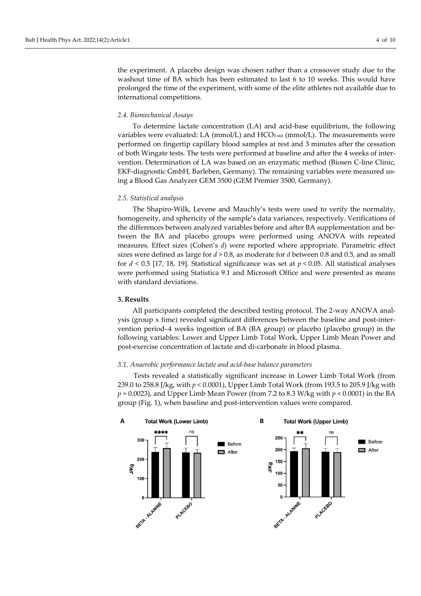the experiment. A placebo design was chosen rather than a crossover study due to the washout time of BA which has been estimated to last 6 to 10 weeks. This would have prolonged the time of the experiment, with some of the elite athletes not available due to international competitions.

#### *2.4. Biomechanical Assays*

To determine lactate concentration (LA) and acid-base equilibrium, the following variables were evaluated: LA (mmol/L) and HCO3-std (mmol/L). The measurements were performed on fingertip capillary blood samples at rest and 3 minutes after the cessation of both Wingate tests. The tests were performed at baseline and after the 4 weeks of intervention. Determination of LA was based on an enzymatic method (Biosen C-line Clinic, EKF-diagnostic GmbH, Barleben, Germany). The remaining variables were measured using a Blood Gas Analyzer GEM 3500 (GEM Premier 3500, Germany).

#### *2.5. Statistical analysis*

The Shapiro-Wilk, Levene and Mauchly's tests were used to verify the normality, homogeneity, and sphericity of the sample's data variances, respectively. Verifications of the differences between analyzed variables before and after BA supplementation and between the BA and placebo groups were performed using ANOVA with repeated measures. Effect sizes (Cohen's *d*) were reported where appropriate. Parametric effect sizes were defined as large for *d* > 0.8, as moderate for *d* between 0.8 and 0.5, and as small for  $d < 0.5$  [17, 18, 19]. Statistical significance was set at  $p < 0.05$ . All statistical analyses were performed using Statistica 9.1 and Microsoft Office and were presented as means with standard deviations.

#### **3. Results**

All participants completed the described testing protocol. The 2-way ANOVA analysis (group x time) revealed significant differences between the baseline and post-intervention period–4 weeks ingestion of BA (BA group) or placebo (placebo group) in the following variables: Lower and Upper Limb Total Work, Upper Limb Mean Power and post-exercise concentration of lactate and di-carbonate in blood plasma.

#### *3.1. Anaerobic performance lactate and acid-base balance parameters*

Tests revealed a statistically significant increase in Lower Limb Total Work (from 239.0 to 258.8 J/kg, with *p* < 0.0001), Upper Limb Total Work (from 193.5 to 205.9 J/kg with *p* = 0.0023), and Upper Limb Mean Power (from 7.2 to 8.3 W/kg with *p* < 0.0001) in the BA group (Fig. 1), when baseline and post-intervention values were compared.

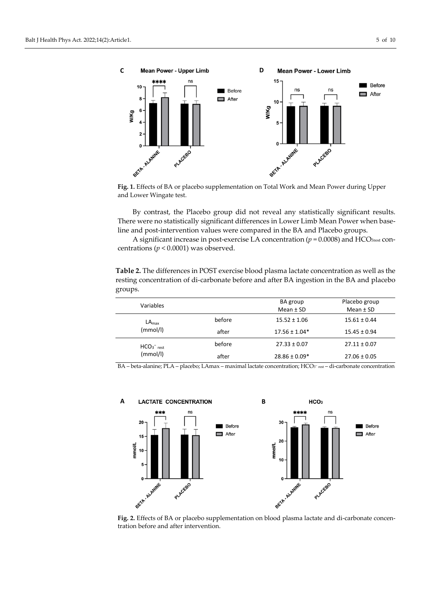

**Fig. 1.** Effects of BA or placebo supplementation on Total Work and Mean Power during Upper and Lower Wingate test.

By contrast, the Placebo group did not reveal any statistically significant results. There were no statistically significant differences in Lower Limb Mean Power when baseline and post-intervention values were compared in the BA and Placebo groups.

A significant increase in post-exercise LA concentration ( $p = 0.0008$ ) and HCO<sub>3rest</sub> concentrations (*p* < 0.0001) was observed.

**Table 2.** The differences in POST exercise blood plasma lactate concentration as well as the resting concentration of di-carbonate before and after BA ingestion in the BA and placebo groups.

| Variables                     |        | BA group          | Placebo group    |
|-------------------------------|--------|-------------------|------------------|
|                               |        | Mean $±$ SD       | Mean $±$ SD      |
| LA <sub>max</sub><br>(mmol/l) | before | $15.52 \pm 1.06$  | $15.61 \pm 0.44$ |
|                               | after  | $17.56 \pm 1.04*$ | $15.45 \pm 0.94$ |
| $HCO3- rest$<br>(mmol/l)      | before | $27.33 \pm 0.07$  | $27.11 \pm 0.07$ |
|                               | after  | $28.86 \pm 0.09*$ | $27.06 \pm 0.05$ |

BA – beta-alanine; PLA – placebo; LAmax – maximal lactate concentration; HCO3<sup>−</sup> rest – di-carbonate concentration



**Fig. 2.** Effects of BA or placebo supplementation on blood plasma lactate and di-carbonate concentration before and after intervention.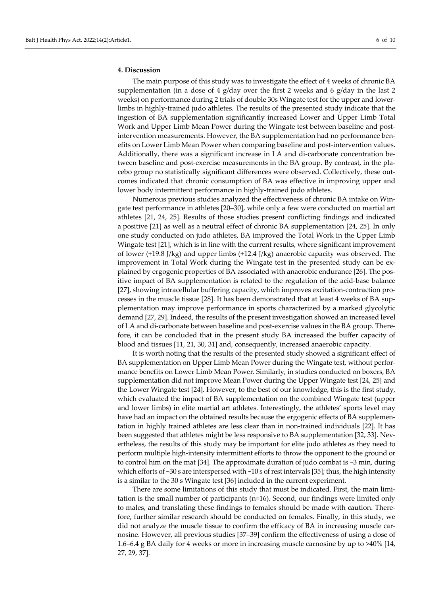#### **4. Discussion**

The main purpose of this study was to investigate the effect of 4 weeks of chronic BA supplementation (in a dose of 4 g/day over the first 2 weeks and 6 g/day in the last 2 weeks) on performance during 2 trials of double 30s Wingate test for the upper and lowerlimbs in highly-trained judo athletes. The results of the presented study indicate that the ingestion of BA supplementation significantly increased Lower and Upper Limb Total Work and Upper Limb Mean Power during the Wingate test between baseline and postintervention measurements. However, the BA supplementation had no performance benefits on Lower Limb Mean Power when comparing baseline and post-intervention values. Additionally, there was a significant increase in LA and di-carbonate concentration between baseline and post-exercise measurements in the BA group. By contrast, in the placebo group no statistically significant differences were observed. Collectively, these outcomes indicated that chronic consumption of BA was effective in improving upper and lower body intermittent performance in highly-trained judo athletes.

Numerous previous studies analyzed the effectiveness of chronic BA intake on Wingate test performance in athletes [20–30], while only a few were conducted on martial art athletes [21, 24, 25]. Results of those studies present conflicting findings and indicated a positive [21] as well as a neutral effect of chronic BA supplementation [24, 25]. In only one study conducted on judo athletes, BA improved the Total Work in the Upper Limb Wingate test [21], which is in line with the current results, where significant improvement of lower (+19.8 J/kg) and upper limbs (+12.4 J/kg) anaerobic capacity was observed. The improvement in Total Work during the Wingate test in the presented study can be explained by ergogenic properties of BA associated with anaerobic endurance [26]. The positive impact of BA supplementation is related to the regulation of the acid-base balance [27], showing intracellular buffering capacity, which improves excitation-contraction processes in the muscle tissue [28]. It has been demonstrated that at least 4 weeks of BA supplementation may improve performance in sports characterized by a marked glycolytic demand [27, 29]. Indeed, the results of the present investigation showed an increased level of LA and di-carbonate between baseline and post-exercise values in the BA group. Therefore, it can be concluded that in the present study BA increased the buffer capacity of blood and tissues [11, 21, 30, 31] and, consequently, increased anaerobic capacity.

It is worth noting that the results of the presented study showed a significant effect of BA supplementation on Upper Limb Mean Power during the Wingate test, without performance benefits on Lower Limb Mean Power. Similarly, in studies conducted on boxers, BA supplementation did not improve Mean Power during the Upper Wingate test [24, 25] and the Lower Wingate test [24]. However, to the best of our knowledge, this is the first study, which evaluated the impact of BA supplementation on the combined Wingate test (upper and lower limbs) in elite martial art athletes. Interestingly, the athletes' sports level may have had an impact on the obtained results because the ergogenic effects of BA supplementation in highly trained athletes are less clear than in non-trained individuals [22]. It has been suggested that athletes might be less responsive to BA supplementation [32, 33]. Nevertheless, the results of this study may be important for elite judo athletes as they need to perform multiple high-intensity intermittent efforts to throw the opponent to the ground or to control him on the mat [34]. The approximate duration of judo combat is  $\sim$ 3 min, during which efforts of  $\sim$ 30 s are interspersed with  $\sim$ 10 s of rest intervals [35]; thus, the high intensity is a similar to the 30 s Wingate test [36] included in the current experiment.

There are some limitations of this study that must be indicated. First, the main limitation is the small number of participants (n=16). Second, our findings were limited only to males, and translating these findings to females should be made with caution. Therefore, further similar research should be conducted on females. Finally, in this study, we did not analyze the muscle tissue to confirm the efficacy of BA in increasing muscle carnosine. However, all previous studies [37–39] confirm the effectiveness of using a dose of 1.6–6.4 g BA daily for 4 weeks or more in increasing muscle carnosine by up to >40% [14, 27, 29, 37].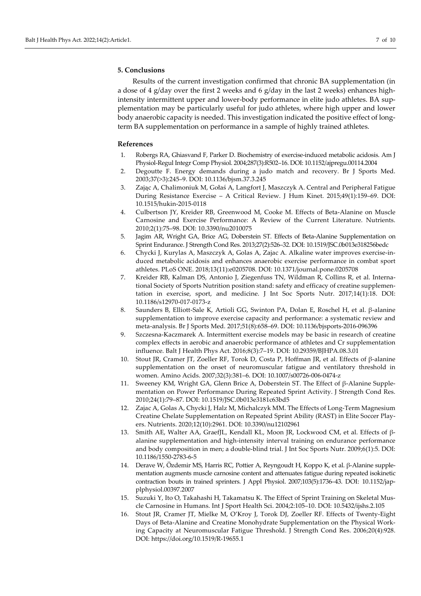Results of the current investigation confirmed that chronic BA supplementation (in a dose of 4 g/day over the first 2 weeks and 6 g/day in the last 2 weeks) enhances highintensity intermittent upper and lower-body performance in elite judo athletes. BA supplementation may be particularly useful for judo athletes, where high upper and lower body anaerobic capacity is needed. This investigation indicated the positive effect of longterm BA supplementation on performance in a sample of highly trained athletes.

#### **References**

- 1. Robergs RA, Ghiasvand F, Parker D. Biochemistry of exercise-induced metabolic acidosis. Am J Physiol-Regul Integr Comp Physiol. 2004;287(3):R502–16[. DOI: 10.1152/ajpregu.00114.2004](https://doi.org/10.1152/ajpregu.00114.2004)
- 2. Degoutte F. Energy demands during a judo match and recovery. Br J Sports Med. 2003;37(>3):245–9. DOI[: 10.1136/bjsm.37.3.245](https://doi.org/10.1136/bjsm.37.3.245)
- 3. Zając A, Chalimoniuk M, Gołaś A, Langfort J, Maszczyk A. Central and Peripheral Fatigue During Resistance Exercise – A Critical Review. J Hum Kinet. 2015;49(1):159–69. DOI: [10.1515/hukin-2015-0118](https://doi.org/10.1515/hukin-2015-0118)
- 4. Culbertson JY, Kreider RB, Greenwood M, Cooke M. Effects of Beta-Alanine on Muscle Carnosine and Exercise Performance: A Review of the Current Literature. Nutrients. 2010;2(1):75–98. DOI: [10.3390/nu2010075](https://doi.org/10.3390/nu2010075)
- 5. Jagim AR, Wright GA, Brice AG, Doberstein ST. Effects of Beta-Alanine Supplementation on Sprint Endurance. J Strength Cond Res. 2013;27(2):526–32. DOI[: 10.1519/JSC.0b013e318256bedc](https://doi.org/10.1519/JSC.0b013e318256bedc)
- 6. Chycki J, Kurylas A, Maszczyk A, Golas A, Zajac A. Alkaline water improves exercise-induced metabolic acidosis and enhances anaerobic exercise performance in combat sport athletes. PLoS ONE. 2018;13(11):e0205708. DOI: [10.1371/journal.pone.0205708](https://doi.org/10.1371/journal.pone.0205708)
- 7. Kreider RB, Kalman DS, Antonio J, Ziegenfuss TN, Wildman R, Collins R, et al. International Society of Sports Nutrition position stand: safety and efficacy of creatine supplementation in exercise, sport, and medicine. J Int Soc Sports Nutr. 2017;14(1):18. DOI: [10.1186/s12970-017-0173-z](https://doi.org/10.1186/s12970-017-0173-z)
- 8. Saunders B, Elliott-Sale K, Artioli GG, Swinton PA, Dolan E, Roschel H, et al. β-alanine supplementation to improve exercise capacity and performance: a systematic review and meta-analysis. Br J Sports Med. 2017;51(8):658–69. DOI: [10.1136/bjsports-2016-096396](https://doi.org/10.1136/bjsports-2016-096396)
- 9. Szczesna-Kaczmarek A. Intermittent exercise models may be basic in research of creatine complex effects in aerobic and anaerobic performance of athletes and Cr supplementation influence. Balt J Health Phys Act. 2016;8(3):7–19. DOI: [10.29359/BJHPA.08.3.01](https://doi.org/10.29359/BJHPA.08.3.01)
- 10. Stout JR, Cramer JT, Zoeller RF, Torok D, Costa P, Hoffman JR, et al. Effects of β-alanine supplementation on the onset of neuromuscular fatigue and ventilatory threshold in women. Amino Acids. 2007;32(3):381–6. DOI: [10.1007/s00726-006-0474-z](https://doi.org/10.1007/s00726-006-0474-z)
- 11. Sweeney KM, Wright GA, Glenn Brice A, Doberstein ST. The Effect of β-Alanine Supplementation on Power Performance During Repeated Sprint Activity. J Strength Cond Res. 2010;24(1):79–87. DOI: [10.1519/JSC.0b013e3181c63bd5](https://doi.org/10.1519/JSC.0b013e3181c63bd5)
- 12. Zajac A, Golas A, Chycki J, Halz M, Michalczyk MM. The Effects of Long-Term Magnesium Creatine Chelate Supplementation on Repeated Sprint Ability (RAST) in Elite Soccer Players. Nutrients. 2020;12(10):2961. DOI: [10.3390/nu12102961](https://doi.org/10.3390/nu12102961)
- 13. Smith AE, Walter AA, GraefJL, Kendall KL, Moon JR, Lockwood CM, et al. Effects of βalanine supplementation and high-intensity interval training on endurance performance and body composition in men; a double-blind trial. J Int Soc Sports Nutr. 2009;6(1):5. DOI: [10.1186/1550-2783-6-5](https://doi.org/10.1186/1550-2783-6-5)
- 14. Derave W, Özdemir MS, Harris RC, Pottier A, Reyngoudt H, Koppo K, et al. β-Alanine supplementation augments muscle carnosine content and attenuates fatigue during repeated isokinetic contraction bouts in trained sprinters. J Appl Physiol. 2007;103(5):1736–43. DOI: [10.1152/jap](https://doi.org/10.1152/japplphysiol.00397.2007)[plphysiol.00397.2007](https://doi.org/10.1152/japplphysiol.00397.2007)
- 15. Suzuki Y, Ito O, Takahashi H, Takamatsu K. The Effect of Sprint Training on Skeletal Muscle Carnosine in Humans. Int J Sport Health Sci. 2004;2:105–10. DOI: [10.5432/ijshs.2.105](https://doi.org/10.5432/ijshs.2.105)
- 16. Stout JR, Cramer JT, Mielke M, O'Kroy J, Torok DJ, Zoeller RF. Effects of Twenty-Eight Days of Beta-Alanine and Creatine Monohydrate Supplementation on the Physical Working Capacity at Neuromuscular Fatigue Threshold. J Strength Cond Res. 2006;20(4):928. DOI: <https://doi.org/10.1519/R-19655.1>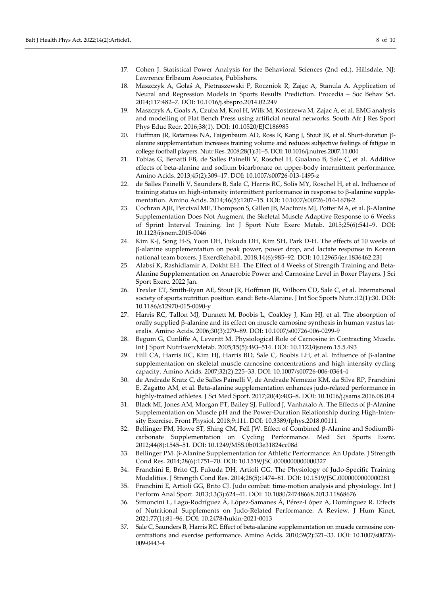- 17. Cohen J. Statistical Power Analysis for the Behavioral Sciences (2nd ed.). Hillsdale, NJ: Lawrence Erlbaum Associates, Publishers.
- 18. Maszczyk A, Gołaś A, Pietraszewski P, Roczniok R, Zając A, Stanula A. Application of Neural and Regression Models in Sports Results Prediction. Procedia – Soc Behav Sci. 2014;117:482–7. DOI[: 10.1016/j.sbspro.2014.02.249](https://doi.org/10.1016/j.sbspro.2014.02.249)
- 19. Maszczyk A, Goals A, Czuba M, Krol H, Wilk M, Kostrzewa M, Zajac A, et al. EMG analysis and modelling of Flat Bench Press using artificial neural networks. South Afr J Res Sport Phys Educ Recr. 2016;38(1). DOI: [10.10520/EJC186985](https://journals.co.za/doi/abs/10.10520/EJC186985)
- 20. Hoffman JR, Ratamess NA, Faigenbaum AD, Ross R, Kang J, Stout JR, et al. Short-duration βalanine supplementation increases training volume and reduces subjective feelings of fatigue in college football players. Nutr Res. 2008;28(1):31–5. DOI: [10.1016/j.nutres.2007.11.004](https://doi.org/10.1016/j.nutres.2007.11.004)
- 21. Tobias G, Benatti FB, de Salles Painelli V, Roschel H, Gualano B, Sale C, et al. Additive effects of beta-alanine and sodium bicarbonate on upper-body intermittent performance. Amino Acids. 2013;45(2):309–17. DOI: [10.1007/s00726-013-1495-z](https://doi.org/10.1007/s00726-013-1495-z)
- 22. de Salles Painelli V, Saunders B, Sale C, Harris RC, Solis MY, Roschel H, et al. Influence of training status on high-intensity intermittent performance in response to β-alanine supplementation. Amino Acids. 2014;46(5):1207–15. DOI: [10.1007/s00726-014-1678-2](https://doi.org/10.1007/s00726-014-1678-2)
- 23. Cochran AJR, Percival ME, Thompson S, Gillen JB, MacInnis MJ, Potter MA, et al. β-Alanine Supplementation Does Not Augment the Skeletal Muscle Adaptive Response to 6 Weeks of Sprint Interval Training. Int J Sport Nutr Exerc Metab. 2015;25(6):541–9. DOI: [10.1123/ijsnem.2015-0046](https://doi.org/10.1123/ijsnem.2015-0046)
- 24. Kim K-J, Song H-S, Yoon DH, Fukuda DH, Kim SH, Park D-H. The effects of 10 weeks of β-alanine supplementation on peak power, power drop, and lactate response in Korean national team boxers. J ExercRehabil. 2018;14(6):985–92. DOI: [10.12965/jer.1836462.231](https://doi.org/10.12965/jer.1836462.231)
- 25. Alabsi K, Rashidlamir A, Dokht EH. The Effect of 4 Weeks of Strength Training and Beta-Alanine Supplementation on Anaerobic Power and Carnosine Level in Boxer Players. J Sci Sport Exerc. 2022 Jan.
- 26. Trexler ET, Smith-Ryan AE, Stout JR, Hoffman JR, Wilborn CD, Sale C, et al. International society of sports nutrition position stand: Beta-Alanine. J Int Soc Sports Nutr.;12(1):30. DOI: [10.1186/s12970-015-0090-y](https://doi.org/10.1186/s12970-015-0090-y)
- 27. Harris RC, Tallon MJ, Dunnett M, Boobis L, Coakley J, Kim HJ, et al. The absorption of orally supplied β-alanine and its effect on muscle carnosine synthesis in human vastus lateralis. Amino Acids. 2006;30(3):279–89. DOI: [10.1007/s00726-006-0299-9](https://doi.org/10.1007/s00726-006-0299-9)
- 28. Begum G, Cunliffe A, Leveritt M. Physiological Role of Carnosine in Contracting Muscle. Int J Sport NutrExercMetab. 2005;15(5):493–514. DOI: [10.1123/ijsnem.15.5.493](https://doi.org/10.1123/ijsnem.15.5.493)
- 29. Hill CA, Harris RC, Kim HJ, Harris BD, Sale C, Boobis LH, et al. Influence of β-alanine supplementation on skeletal muscle carnosine concentrations and high intensity cycling capacity. Amino Acids. 2007;32(2):225–33. DOI: [10.1007/s00726-006-0364-4](https://doi.org/10.1007/s00726-006-0364-4)
- 30. de Andrade Kratz C, de Salles Painelli V, de Andrade Nemezio KM, da Silva RP, Franchini E, Zagatto AM, et al. Beta-alanine supplementation enhances judo-related performance in highly-trained athletes. J Sci Med Sport. 2017;20(4):403–8. DOI: [10.1016/j.jsams.2016.08.014](https://doi.org/10.1016/j.jsams.2016.08.014)
- 31. Black MI, Jones AM, Morgan PT, Bailey SJ, Fulford J, Vanhatalo A. The Effects of β-Alanine Supplementation on Muscle pH and the Power-Duration Relationship during High-Intensity Exercise. Front Physiol. 2018;9:111. DOI: [10.3389/fphys.2018.00111](https://doi.org/10.3389/fphys.2018.00111)
- 32. Bellinger PM, Howe ST, Shing CM, Fell JW. Effect of Combined β-Alanine and SodiumBicarbonate Supplementation on Cycling Performance. Med Sci Sports Exerc. 2012;44(8):1545–51. DOI: [10.1249/MSS.0b013e31824cc08d](https://doi.org/10.1249/MSS.0b013e31824cc08d)
- 33. Bellinger PM. β-Alanine Supplementation for Athletic Performance: An Update. J Strength Cond Res. 2014;28(6):1751–70. DOI: [10.1519/JSC.0000000000000327](https://doi.org/10.1519/JSC.0000000000000327)
- 34. Franchini E, Brito CJ, Fukuda DH, Artioli GG. The Physiology of Judo-Specific Training Modalities. J Strength Cond Res. 2014;28(5):1474–81. DOI[: 10.1519/JSC.0000000000000281](https://doi.org/10.1519/JSC.0000000000000281)
- 35. Franchini E, Artioli GG, Brito CJ. Judo combat: time-motion analysis and physiology. Int J Perform Anal Sport. 2013;13(3):624–41. DOI: [10.1080/24748668.2013.11868676](https://doi.org/10.1080/24748668.2013.11868676)
- 36. Simoncini L, Lago-Rodríguez Á, López-Samanes Á, Pérez-López A, Domínguez R. Effects of Nutritional Supplements on Judo-Related Performance: A Review. J Hum Kinet. 2021;77(1):81–96. DOI: [10.2478/hukin-2021-0013](https://doi.org/10.2478/hukin-2021-0013)
- 37. Sale C, Saunders B, Harris RC. Effect of beta-alanine supplementation on muscle carnosine concentrations and exercise performance. Amino Acids. 2010;39(2):321–33. DOI: [10.1007/s00726-](https://doi.org/10.1007/s00726-009-0443-4) [009-0443-4](https://doi.org/10.1007/s00726-009-0443-4)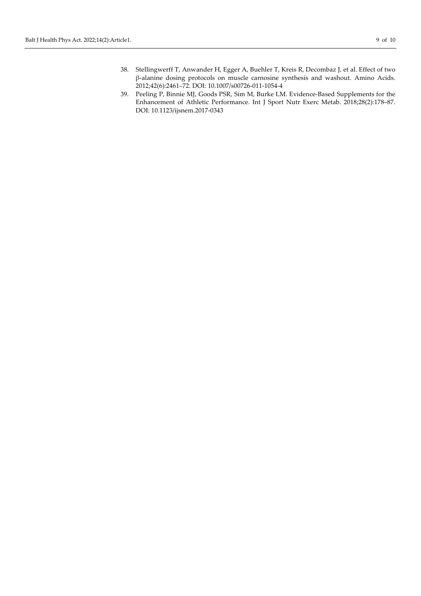- 38. Stellingwerff T, Anwander H, Egger A, Buehler T, Kreis R, Decombaz J, et al. Effect of two β-alanine dosing protocols on muscle carnosine synthesis and washout. Amino Acids. 2012;42(6):2461–72. DOI: [10.1007/s00726-011-1054-4](https://doi.org/10.1007/s00726-011-1054-4)
- 39. Peeling P, Binnie MJ, Goods PSR, Sim M, Burke LM. Evidence-Based Supplements for the Enhancement of Athletic Performance. Int J Sport Nutr Exerc Metab. 2018;28(2):178–87. DOI: [10.1123/ijsnem.2017-0343](https://doi.org/10.1123/ijsnem.2017-0343)